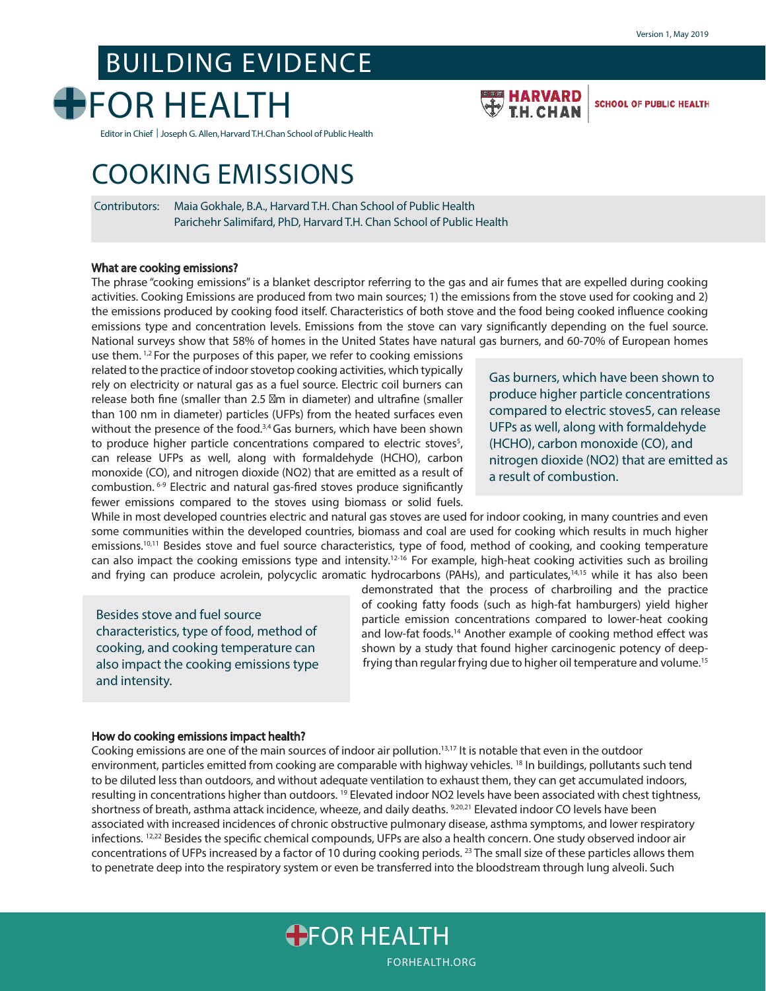**SCHOOL OF PUBLIC HEALTH** 

# BUILDING EVIDENCE



Editor in Chief | Joseph G. Allen, Harvard T.H. Chan School of Public Health

# COOKING EMISSIONS

Contributors: Maia Gokhale, B.A., Harvard T.H. Chan School of Public Health Parichehr Salimifard, PhD, Harvard T.H. Chan School of Public Health

#### What are cooking emissions?

The phrase "cooking emissions" is a blanket descriptor referring to the gas and air fumes that are expelled during cooking activities. Cooking Emissions are produced from two main sources; 1) the emissions from the stove used for cooking and 2) the emissions produced by cooking food itself. Characteristics of both stove and the food being cooked influence cooking emissions type and concentration levels. Emissions from the stove can vary significantly depending on the fuel source. National surveys show that 58% of homes in the United States have natural gas burners, and 60-70% of European homes

use them.<sup>1,2</sup> For the purposes of this paper, we refer to cooking emissions related to the practice of indoor stovetop cooking activities, which typically rely on electricity or natural gas as a fuel source. Electric coil burners can release both fine (smaller than 2.5 m in diameter) and ultrafine (smaller than 100 nm in diameter) particles (UFPs) from the heated surfaces even without the presence of the food.<sup>3,4</sup> Gas burners, which have been shown to produce higher particle concentrations compared to electric stoves<sup>5</sup>, can release UFPs as well, along with formaldehyde (HCHO), carbon monoxide (CO), and nitrogen dioxide (NO2) that are emitted as a result of combustion. 6-9 Electric and natural gas-fired stoves produce significantly fewer emissions compared to the stoves using biomass or solid fuels.

Gas burners, which have been shown to produce higher particle concentrations compared to electric stoves5, can release UFPs as well, along with formaldehyde (HCHO), carbon monoxide (CO), and nitrogen dioxide (NO2) that are emitted as a result of combustion.

While in most developed countries electric and natural gas stoves are used for indoor cooking, in many countries and even some communities within the developed countries, biomass and coal are used for cooking which results in much higher emissions.<sup>10,11</sup> Besides stove and fuel source characteristics, type of food, method of cooking, and cooking temperature can also impact the cooking emissions type and intensity.<sup>12-16</sup> For example, high-heat cooking activities such as broiling and frying can produce acrolein, polycyclic aromatic hydrocarbons (PAHs), and particulates,<sup>14,15</sup> while it has also been

Besides stove and fuel source characteristics, type of food, method of cooking, and cooking temperature can also impact the cooking emissions type and intensity.

demonstrated that the process of charbroiling and the practice of cooking fatty foods (such as high-fat hamburgers) yield higher particle emission concentrations compared to lower-heat cooking and low-fat foods.<sup>14</sup> Another example of cooking method effect was shown by a study that found higher carcinogenic potency of deepfrying than regular frying due to higher oil temperature and volume.15

HARVARD

**TH CHAN** 

#### How do cooking emissions impact health?

Cooking emissions are one of the main sources of indoor air pollution.13,17 It is notable that even in the outdoor environment, particles emitted from cooking are comparable with highway vehicles. <sup>18</sup> In buildings, pollutants such tend to be diluted less than outdoors, and without adequate ventilation to exhaust them, they can get accumulated indoors, resulting in concentrations higher than outdoors.<sup>19</sup> Elevated indoor NO2 levels have been associated with chest tightness, shortness of breath, asthma attack incidence, wheeze, and daily deaths. 9,20,21 Elevated indoor CO levels have been associated with increased incidences of chronic obstructive pulmonary disease, asthma symptoms, and lower respiratory infections. <sup>12,22</sup> Besides the specific chemical compounds, UFPs are also a health concern. One study observed indoor air concentrations of UFPs increased by a factor of 10 during cooking periods.<sup>23</sup> The small size of these particles allows them to penetrate deep into the respiratory system or even be transferred into the bloodstream through lung alveoli. Such

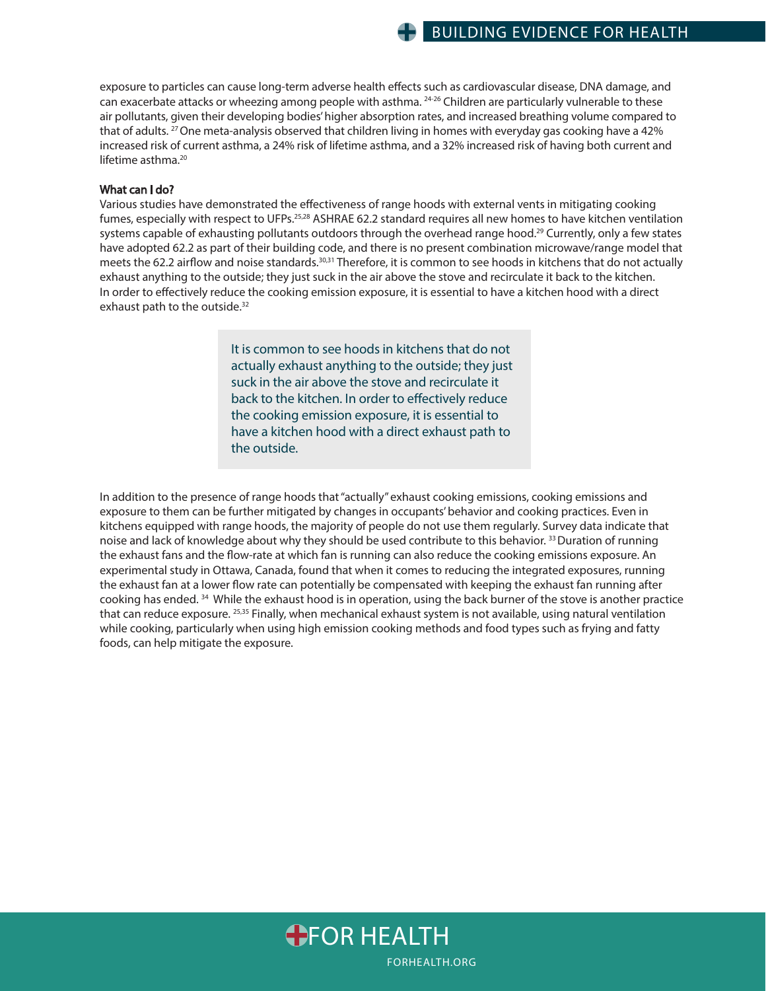exposure to particles can cause long-term adverse health effects such as cardiovascular disease, DNA damage, and can exacerbate attacks or wheezing among people with asthma. <sup>24-26</sup> Children are particularly vulnerable to these air pollutants, given their developing bodies' higher absorption rates, and increased breathing volume compared to that of adults. <sup>27</sup> One meta-analysis observed that children living in homes with everyday gas cooking have a 42% increased risk of current asthma, a 24% risk of lifetime asthma, and a 32% increased risk of having both current and lifetime asthma.<sup>20</sup>

#### What can I do?

Various studies have demonstrated the effectiveness of range hoods with external vents in mitigating cooking fumes, especially with respect to UFPs.<sup>25,28</sup> ASHRAE 62.2 standard requires all new homes to have kitchen ventilation systems capable of exhausting pollutants outdoors through the overhead range hood.<sup>29</sup> Currently, only a few states have adopted 62.2 as part of their building code, and there is no present combination microwave/range model that meets the 62.2 airflow and noise standards.<sup>30,31</sup> Therefore, it is common to see hoods in kitchens that do not actually exhaust anything to the outside; they just suck in the air above the stove and recirculate it back to the kitchen. In order to effectively reduce the cooking emission exposure, it is essential to have a kitchen hood with a direct exhaust path to the outside.<sup>32</sup>

> It is common to see hoods in kitchens that do not actually exhaust anything to the outside; they just suck in the air above the stove and recirculate it back to the kitchen. In order to effectively reduce the cooking emission exposure, it is essential to have a kitchen hood with a direct exhaust path to the outside.

In addition to the presence of range hoods that "actually" exhaust cooking emissions, cooking emissions and exposure to them can be further mitigated by changes in occupants' behavior and cooking practices. Even in kitchens equipped with range hoods, the majority of people do not use them regularly. Survey data indicate that noise and lack of knowledge about why they should be used contribute to this behavior. 33 Duration of running the exhaust fans and the flow-rate at which fan is running can also reduce the cooking emissions exposure. An experimental study in Ottawa, Canada, found that when it comes to reducing the integrated exposures, running the exhaust fan at a lower flow rate can potentially be compensated with keeping the exhaust fan running after cooking has ended.<sup>34</sup> While the exhaust hood is in operation, using the back burner of the stove is another practice that can reduce exposure. 25,35 Finally, when mechanical exhaust system is not available, using natural ventilation while cooking, particularly when using high emission cooking methods and food types such as frying and fatty foods, can help mitigate the exposure.

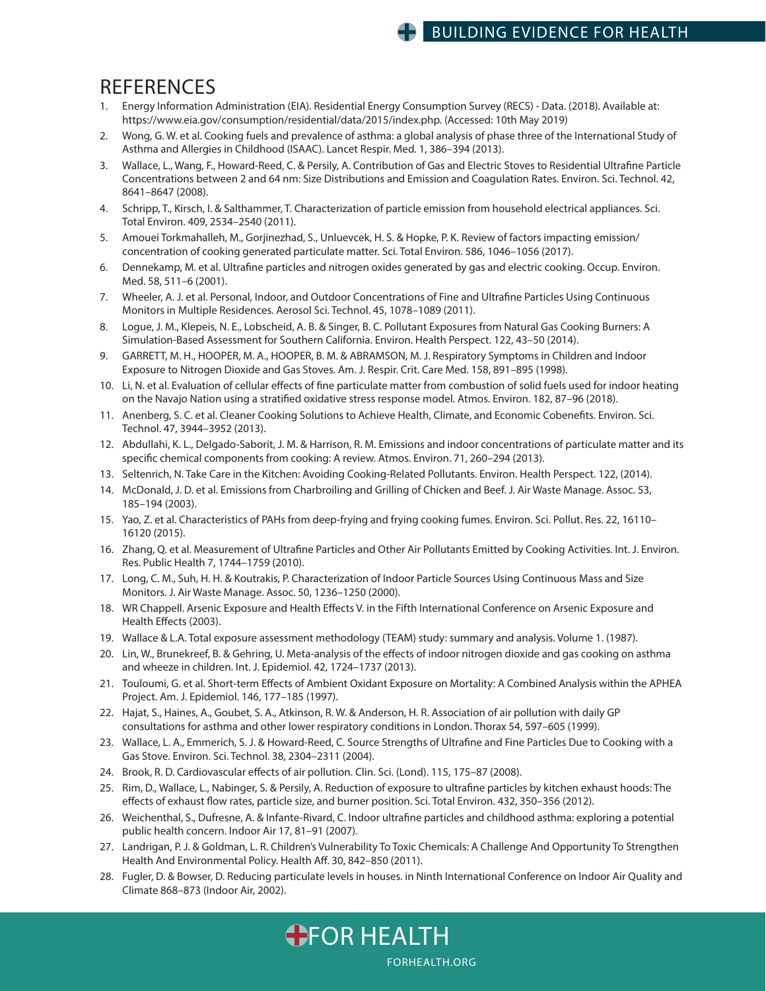### BUILDING EVIDENCE FOR HEALTH

## **REFERENCES**

- 1. Energy Information Administration (EIA). Residential Energy Consumption Survey (RECS) Data. (2018). Available at: https://www.eia.gov/consumption/residential/data/2015/index.php. (Accessed: 10th May 2019)
- 2. Wong, G. W. et al. Cooking fuels and prevalence of asthma: a global analysis of phase three of the International Study of Asthma and Allergies in Childhood (ISAAC). Lancet Respir. Med. 1, 386–394 (2013).
- 3. Wallace, L., Wang, F., Howard-Reed, C. & Persily, A. Contribution of Gas and Electric Stoves to Residential Ultrafine Particle Concentrations between 2 and 64 nm: Size Distributions and Emission and Coagulation Rates. Environ. Sci. Technol. 42, 8641–8647 (2008).
- 4. Schripp, T., Kirsch, I. & Salthammer, T. Characterization of particle emission from household electrical appliances. Sci. Total Environ. 409, 2534–2540 (2011).
- 5. Amouei Torkmahalleh, M., Gorjinezhad, S., Unluevcek, H. S. & Hopke, P. K. Review of factors impacting emission/ concentration of cooking generated particulate matter. Sci. Total Environ. 586, 1046–1056 (2017).
- 6. Dennekamp, M. et al. Ultrafine particles and nitrogen oxides generated by gas and electric cooking. Occup. Environ. Med. 58, 511–6 (2001).
- 7. Wheeler, A. J. et al. Personal, Indoor, and Outdoor Concentrations of Fine and Ultrafine Particles Using Continuous Monitors in Multiple Residences. Aerosol Sci. Technol. 45, 1078–1089 (2011).
- 8. Logue, J. M., Klepeis, N. E., Lobscheid, A. B. & Singer, B. C. Pollutant Exposures from Natural Gas Cooking Burners: A Simulation-Based Assessment for Southern California. Environ. Health Perspect. 122, 43–50 (2014).
- 9. GARRETT, M. H., HOOPER, M. A., HOOPER, B. M. & ABRAMSON, M. J. Respiratory Symptoms in Children and Indoor Exposure to Nitrogen Dioxide and Gas Stoves. Am. J. Respir. Crit. Care Med. 158, 891–895 (1998).
- 10. Li, N. et al. Evaluation of cellular effects of fine particulate matter from combustion of solid fuels used for indoor heating on the Navajo Nation using a stratified oxidative stress response model. Atmos. Environ. 182, 87-96 (2018).
- 11. Anenberg, S. C. et al. Cleaner Cooking Solutions to Achieve Health, Climate, and Economic Cobenefits. Environ. Sci. Technol. 47, 3944–3952 (2013).
- 12. Abdullahi, K. L., Delgado-Saborit, J. M. & Harrison, R. M. Emissions and indoor concentrations of particulate matter and its specific chemical components from cooking: A review. Atmos. Environ. 71, 260-294 (2013).
- 13. Seltenrich, N. Take Care in the Kitchen: Avoiding Cooking-Related Pollutants. Environ. Health Perspect. 122, (2014).
- 14. McDonald, J. D. et al. Emissions from Charbroiling and Grilling of Chicken and Beef. J. Air Waste Manage. Assoc. 53, 185–194 (2003).
- 15. Yao, Z. et al. Characteristics of PAHs from deep-frying and frying cooking fumes. Environ. Sci. Pollut. Res. 22, 16110– 16120 (2015).
- 16. Zhang, Q. et al. Measurement of Ultrafine Particles and Other Air Pollutants Emitted by Cooking Activities. Int. J. Environ. Res. Public Health 7, 1744–1759 (2010).
- 17. Long, C. M., Suh, H. H. & Koutrakis, P. Characterization of Indoor Particle Sources Using Continuous Mass and Size Monitors. J. Air Waste Manage. Assoc. 50, 1236–1250 (2000).
- 18. WR Chappell. Arsenic Exposure and Health Effects V. in the Fifth International Conference on Arsenic Exposure and Health Effects (2003).
- 19. Wallace & L.A. Total exposure assessment methodology (TEAM) study: summary and analysis. Volume 1. (1987).
- 20. Lin, W., Brunekreef, B. & Gehring, U. Meta-analysis of the effects of indoor nitrogen dioxide and gas cooking on asthma and wheeze in children. Int. J. Epidemiol. 42, 1724–1737 (2013).
- 21. Touloumi, G. et al. Short-term Effects of Ambient Oxidant Exposure on Mortality: A Combined Analysis within the APHEA Project. Am. J. Epidemiol. 146, 177–185 (1997).
- 22. Hajat, S., Haines, A., Goubet, S. A., Atkinson, R. W. & Anderson, H. R. Association of air pollution with daily GP consultations for asthma and other lower respiratory conditions in London. Thorax 54, 597–605 (1999).
- 23. Wallace, L. A., Emmerich, S. J. & Howard-Reed, C. Source Strengths of Ultrafine and Fine Particles Due to Cooking with a Gas Stove. Environ. Sci. Technol. 38, 2304–2311 (2004).
- 24. Brook, R. D. Cardiovascular effects of air pollution. Clin. Sci. (Lond). 115, 175-87 (2008).
- 25. Rim, D., Wallace, L., Nabinger, S. & Persily, A. Reduction of exposure to ultrafine particles by kitchen exhaust hoods: The effects of exhaust flow rates, particle size, and burner position. Sci. Total Environ. 432, 350–356 (2012).
- 26. Weichenthal, S., Dufresne, A. & Infante-Rivard, C. Indoor ultrafine particles and childhood asthma: exploring a potential public health concern. Indoor Air 17, 81–91 (2007).
- 27. Landrigan, P. J. & Goldman, L. R. Children's Vulnerability To Toxic Chemicals: A Challenge And Opportunity To Strengthen Health And Environmental Policy. Health Aff. 30, 842-850 (2011).
- 28. Fugler, D. & Bowser, D. Reducing particulate levels in houses. in Ninth International Conference on Indoor Air Quality and Climate 868–873 (Indoor Air, 2002).

FORHEALTH.ORG

**OFOR HEALTH**